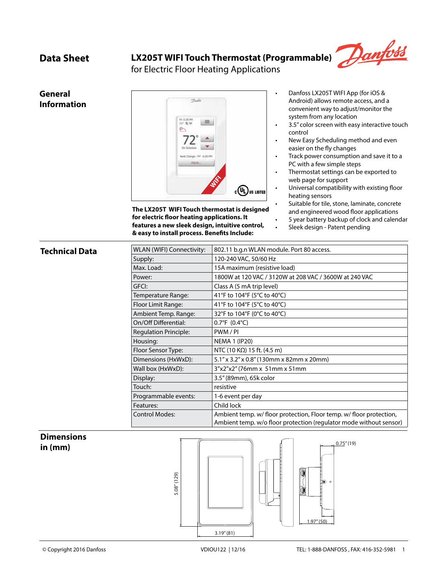## **Data Sheet LX205T WIFI Touch Thermostat (Programmable)**



for Electric Floor Heating Applications

# **General Information**



**The LX205T WIFI Touch thermostat is designed for electric floor heating applications. It features a new sleek design, intuitive control, & easy to install process. Benefits Include:**

- Danfoss LX205T WIFI App (for iOS & Android) allows remote access, and a convenient way to adjust/monitor the system from any location
- 3.5" color screen with easy interactive touch control
- New Easy Scheduling method and even easier on the fly changes
- Track power consumption and save it to a PC with a few simple steps
- Thermostat settings can be exported to web page for support
- Universal compatibility with existing floor heating sensors
	- Suitable for tile, stone, laminate, concrete and engineered wood floor applications
	- 5 year battery backup of clock and calendar
	- Sleek design Patent pending

### **Technical Data**

| WLAN (WIFI) Connectivity:    | 802.11 b.g.n WLAN module. Port 80 access.                                                                                                 |  |
|------------------------------|-------------------------------------------------------------------------------------------------------------------------------------------|--|
| Supply:                      | 120-240 VAC, 50/60 Hz                                                                                                                     |  |
| Max. Load:                   | 15A maximum (resistive load)                                                                                                              |  |
| Power:                       | 1800W at 120 VAC / 3120W at 208 VAC / 3600W at 240 VAC                                                                                    |  |
| GFCI:                        | Class A (5 mA trip level)                                                                                                                 |  |
| Temperature Range:           | 41°F to 104°F (5°C to 40°C)                                                                                                               |  |
| Floor Limit Range:           | 41°F to 104°F (5°C to 40°C)                                                                                                               |  |
| Ambient Temp. Range:         | 32°F to 104°F (0°C to 40°C)                                                                                                               |  |
| On/Off Differential:         | $0.7^{\circ}F(0.4^{\circ}C)$                                                                                                              |  |
| <b>Regulation Principle:</b> | PWM/PI                                                                                                                                    |  |
| Housing:                     | <b>NEMA 1 (IP20)</b>                                                                                                                      |  |
| Floor Sensor Type:           | NTC (10 K $\Omega$ ) 15 ft. (4.5 m)                                                                                                       |  |
| Dimensions (HxWxD):          | 5.1" x 3.2" x 0.8" (130mm x 82mm x 20mm)                                                                                                  |  |
| Wall box (HxWxD):            | $3''x2''x2''$ (76mm x 51mm x 51mm                                                                                                         |  |
| Display:                     | 3.5" (89mm), 65k color                                                                                                                    |  |
| Touch:                       | resistive                                                                                                                                 |  |
| Programmable events:         | 1-6 event per day                                                                                                                         |  |
| Features:                    | Child lock                                                                                                                                |  |
| <b>Control Modes:</b>        | Ambient temp. w/ floor protection, Floor temp. w/ floor protection,<br>Ambient temp. w/o floor protection (regulator mode without sensor) |  |

### **Dimensions in (mm)**